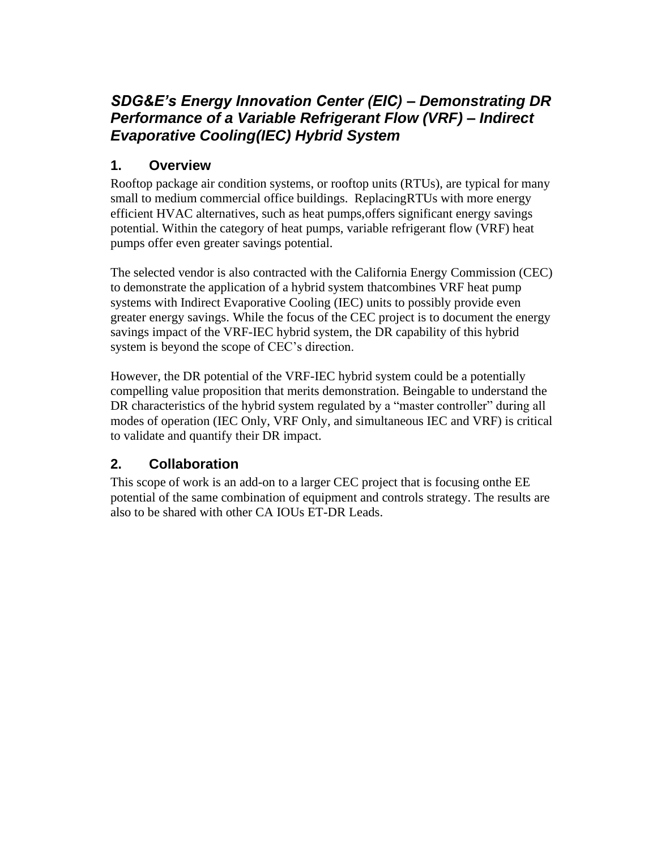# *SDG&E's Energy Innovation Center (EIC) – Demonstrating DR Performance of a Variable Refrigerant Flow (VRF) – Indirect Evaporative Cooling(IEC) Hybrid System*

#### **1. Overview**

Rooftop package air condition systems, or rooftop units (RTUs), are typical for many small to medium commercial office buildings. ReplacingRTUs with more energy efficient HVAC alternatives, such as heat pumps,offers significant energy savings potential. Within the category of heat pumps, variable refrigerant flow (VRF) heat pumps offer even greater savings potential.

The selected vendor is also contracted with the California Energy Commission (CEC) to demonstrate the application of a hybrid system thatcombines VRF heat pump systems with Indirect Evaporative Cooling (IEC) units to possibly provide even greater energy savings. While the focus of the CEC project is to document the energy savings impact of the VRF-IEC hybrid system, the DR capability of this hybrid system is beyond the scope of CEC's direction.

However, the DR potential of the VRF-IEC hybrid system could be a potentially compelling value proposition that merits demonstration. Beingable to understand the DR characteristics of the hybrid system regulated by a "master controller" during all modes of operation (IEC Only, VRF Only, and simultaneous IEC and VRF) is critical to validate and quantify their DR impact.

#### **2. Collaboration**

This scope of work is an add-on to a larger CEC project that is focusing onthe EE potential of the same combination of equipment and controls strategy. The results are also to be shared with other CA IOUs ET-DR Leads.